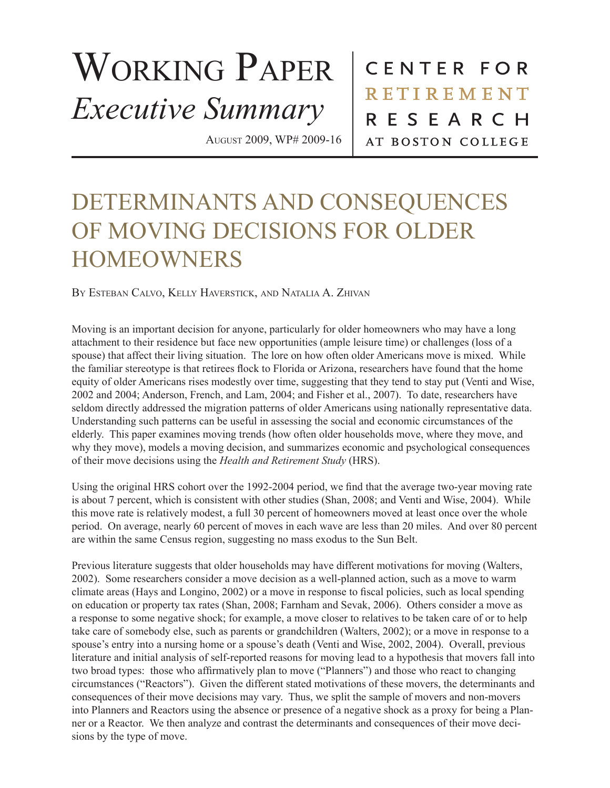## WORKING PAPER *Executive Summary*

August 2009, WP# 2009-16

CENTER FOR **RETIREMENT** RESEARCH AT BOSTON COLLEGE

## DETERMINANTS AND CONSEQUENCES OF MOVING DECISIONS FOR OLDER HOMEOWNERS

By Esteban Calvo, Kelly Haverstick, and Natalia A. Zhivan

Moving is an important decision for anyone, particularly for older homeowners who may have a long attachment to their residence but face new opportunities (ample leisure time) or challenges (loss of a spouse) that affect their living situation. The lore on how often older Americans move is mixed. While the familiar stereotype is that retirees flock to Florida or Arizona, researchers have found that the home equity of older Americans rises modestly over time, suggesting that they tend to stay put (Venti and Wise, 2002 and 2004; Anderson, French, and Lam, 2004; and Fisher et al., 2007). To date, researchers have seldom directly addressed the migration patterns of older Americans using nationally representative data. Understanding such patterns can be useful in assessing the social and economic circumstances of the elderly. This paper examines moving trends (how often older households move, where they move, and why they move), models a moving decision, and summarizes economic and psychological consequences of their move decisions using the *Health and Retirement Study* (HRS).

Using the original HRS cohort over the 1992-2004 period, we find that the average two-year moving rate is about 7 percent, which is consistent with other studies (Shan, 2008; and Venti and Wise, 2004). While this move rate is relatively modest, a full 30 percent of homeowners moved at least once over the whole period. On average, nearly 60 percent of moves in each wave are less than 20 miles. And over 80 percent are within the same Census region, suggesting no mass exodus to the Sun Belt.

Previous literature suggests that older households may have different motivations for moving (Walters, 2002). Some researchers consider a move decision as a well-planned action, such as a move to warm climate areas (Hays and Longino, 2002) or a move in response to fiscal policies, such as local spending on education or property tax rates (Shan, 2008; Farnham and Sevak, 2006). Others consider a move as a response to some negative shock; for example, a move closer to relatives to be taken care of or to help take care of somebody else, such as parents or grandchildren (Walters, 2002); or a move in response to a spouse's entry into a nursing home or a spouse's death (Venti and Wise, 2002, 2004). Overall, previous literature and initial analysis of self-reported reasons for moving lead to a hypothesis that movers fall into two broad types: those who affirmatively plan to move ("Planners") and those who react to changing circumstances ("Reactors"). Given the different stated motivations of these movers, the determinants and consequences of their move decisions may vary. Thus, we split the sample of movers and non-movers into Planners and Reactors using the absence or presence of a negative shock as a proxy for being a Planner or a Reactor. We then analyze and contrast the determinants and consequences of their move decisions by the type of move.